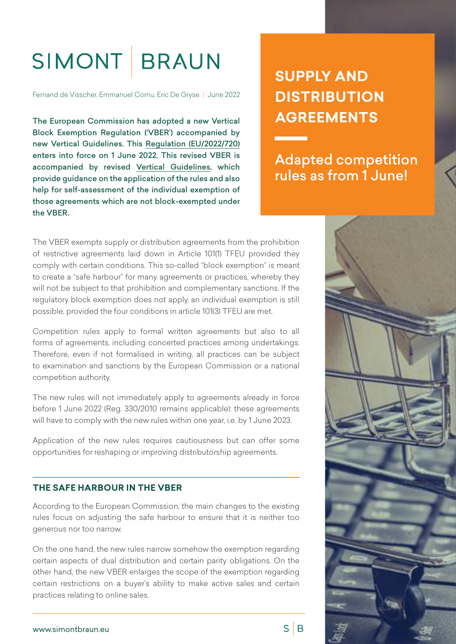# SIMONT BRAUN

Fernand de Visscher, Emmanuel Cornu, Eric De Gryse | June 2022

The European Commission has adopted a new Vertical Block Exemption Regulation ('VBER') accompanied by new Vertical Guidelines. This [Regulation \(EU/2022/720\)](https://eur-lex.europa.eu/legal-content/EN/TXT/HTML/?uri=CELEX:32022R0720&from=EN) enters into force on 1 June 2022. This revised VBER is accompanied by revised [Vertical Guidelines,](https://ec.europa.eu/competition-policy/system/files/2022-05/20220510_guidelines_vertical_restraints_art101_TFEU_.pdf) which provide guidance on the application of the rules and also help for self-assessment of the individual exemption of those agreements which are not block-exempted under the VBER.

## **SUPPLY AND DISTRIBUTION AGREEMENTS**

Adapted competition rules as from 1 June!

The VBER exempts supply or distribution agreements from the prohibition of restrictive agreements laid down in Article 101(1) TFEU provided they comply with certain conditions. This so-called "block exemption" is meant to create a "safe harbour" for many agreements or practices, whereby they will not be subject to that prohibition and complementary sanctions. If the regulatory block exemption does not apply, an individual exemption is still possible, provided the four conditions in article 101(3) TFEU are met.

Competition rules apply to formal written agreements but also to all forms of agreements, including concerted practices among undertakings. Therefore, even if not formalised in writing, all practices can be subject to examination and sanctions by the European Commission or a national competition authority.

The new rules will not immediately apply to agreements already in force before 1 June 2022 (Reg. 330/2010 remains applicable): these agreements will have to comply with the new rules within one year, i.e. by 1 June 2023.

Application of the new rules requires cautiousness but can offer some opportunities for reshaping or improving distributorship agreements.

#### **THE SAFE HARBOUR IN THE VBER**

According to the European Commission, the main changes to the existing rules focus on adjusting the safe harbour to ensure that it is neither too generous nor too narrow.

On the one hand, the new rules narrow somehow the exemption regarding certain aspects of dual distribution and certain parity obligations. On the other hand, the new VBER enlarges the scope of the exemption regarding certain restrictions on a buyer's ability to make active sales and certain practices relating to online sales.



 $S \mid B$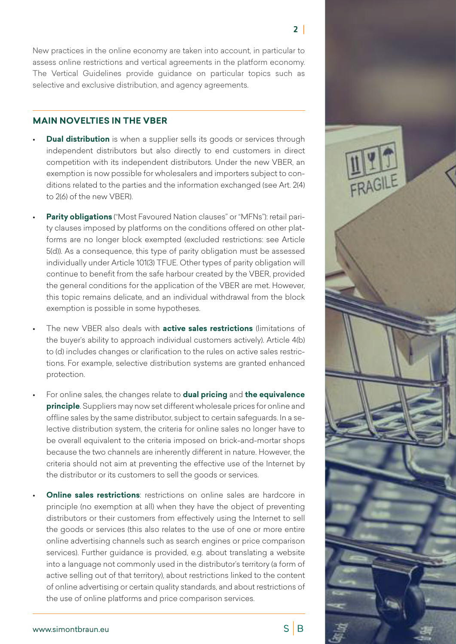$2<sup>1</sup>$ 

New practices in the online economy are taken into account, in particular to assess online restrictions and vertical agreements in the platform economy. The Vertical Guidelines provide guidance on particular topics such as selective and exclusive distribution, and agency agreements.

#### **MAIN NOVELTIES IN THE VBER**

- **Dual distribution** is when a supplier sells its goods or services through independent distributors but also directly to end customers in direct competition with its independent distributors. Under the new VBER, an exemption is now possible for wholesalers and importers subject to conditions related to the parties and the information exchanged (see Art. 2(4) to 2(6) of the new VBER).
- **Parity obligations** ("Most Favoured Nation clauses" or "MFNs"): retail parity clauses imposed by platforms on the conditions offered on other platforms are no longer block exempted (excluded restrictions: see Article 5(d)). As a consequence, this type of parity obligation must be assessed individually under Article 101(3) TFUE. Other types of parity obligation will continue to benefit from the safe harbour created by the VBER, provided the general conditions for the application of the VBER are met. However, this topic remains delicate, and an individual withdrawal from the block exemption is possible in some hypotheses.
- The new VBER also deals with **active sales restrictions** (limitations of the buyer's ability to approach individual customers actively). Article 4(b) to (d) includes changes or clarification to the rules on active sales restrictions. For example, selective distribution systems are granted enhanced protection.
- For online sales, the changes relate to **dual pricing** and **the equivalence principle**. Suppliers may now set different wholesale prices for online and offline sales by the same distributor, subject to certain safeguards. In a selective distribution system, the criteria for online sales no longer have to be overall equivalent to the criteria imposed on brick-and-mortar shops because the two channels are inherently different in nature. However, the criteria should not aim at preventing the effective use of the Internet by the distributor or its customers to sell the goods or services.
- **Online sales restrictions**: restrictions on online sales are hardcore in principle (no exemption at all) when they have the object of preventing distributors or their customers from effectively using the Internet to sell the goods or services (this also relates to the use of one or more entire online advertising channels such as search engines or price comparison services). Further guidance is provided, e.g. about translating a website into a language not commonly used in the distributor's territory (a form of active selling out of that territory), about restrictions linked to the content of online advertising or certain quality standards, and about restrictions of the use of online platforms and price comparison services.



 $S \mid B$